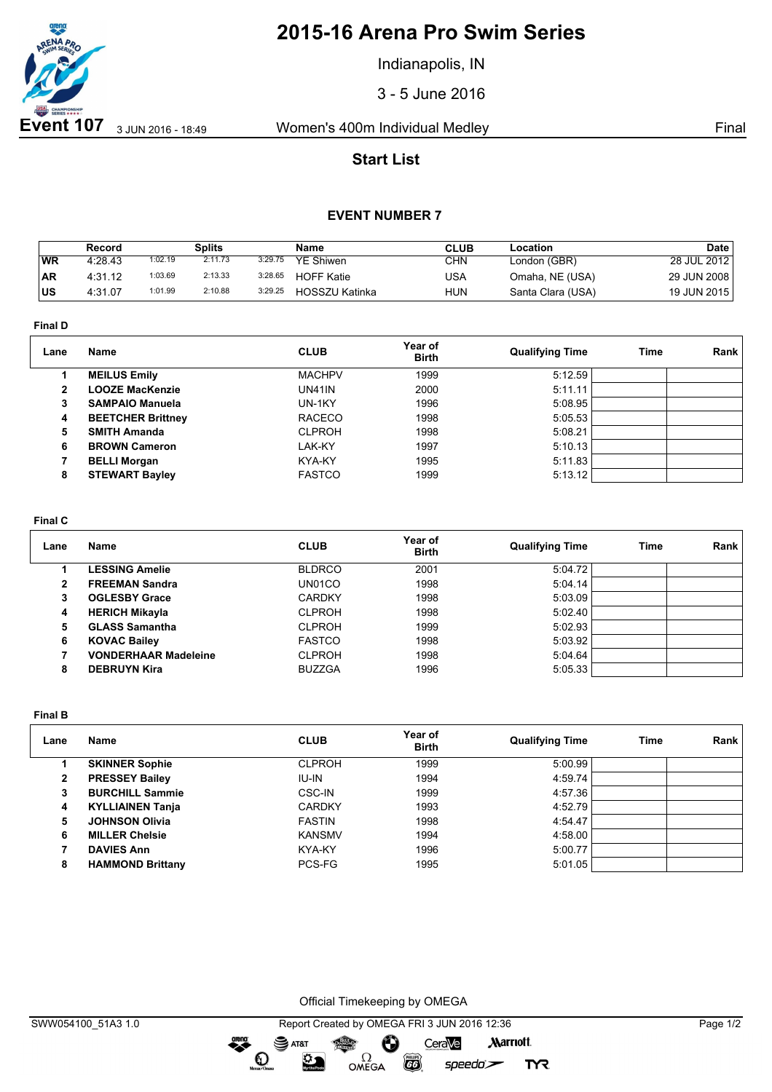

# **2015-16 Arena Pro Swim Series**

Indianapolis, IN

3 - 5 June 2016

## **Start List**

### **EVENT NUMBER 7**

|           | Record  |         | Splits  |         | Name              | CLUB       | Location          | Date        |
|-----------|---------|---------|---------|---------|-------------------|------------|-------------------|-------------|
| WR        | 4:28.43 | 1:02.19 | 2:11.73 | 3:29.75 | <b>YE Shiwen</b>  | CHN        | London (GBR)      | 28 JUL 2012 |
| <b>AR</b> | 4:31.12 | 1:03.69 | 2:13.33 | 3:28.65 | <b>HOFF Katie</b> | USA        | Omaha, NE (USA)   | 29 JUN 2008 |
| <b>US</b> | 4:31.07 | 1:01.99 | 2:10.88 | 3:29.25 | HOSSZU Katinka    | <b>HUN</b> | Santa Clara (USA) | 19 JUN 2015 |

**Final D**

| Lane | Name                     | <b>CLUB</b>   | Year of<br><b>Birth</b> | <b>Qualifying Time</b> | Time | Rank |
|------|--------------------------|---------------|-------------------------|------------------------|------|------|
|      | <b>MEILUS Emily</b>      | <b>MACHPV</b> | 1999                    | 5:12.59                |      |      |
| 2    | <b>LOOZE MacKenzie</b>   | <b>UN41IN</b> | 2000                    | 5:11.11                |      |      |
| 3    | <b>SAMPAIO Manuela</b>   | UN-1KY        | 1996                    | 5:08.95                |      |      |
| 4    | <b>BEETCHER Brittney</b> | <b>RACECO</b> | 1998                    | 5:05.53                |      |      |
| 5    | <b>SMITH Amanda</b>      | <b>CLPROH</b> | 1998                    | 5:08.21                |      |      |
| 6    | <b>BROWN Cameron</b>     | LAK-KY        | 1997                    | 5:10.13                |      |      |
|      | <b>BELLI Morgan</b>      | KYA-KY        | 1995                    | 5:11.83                |      |      |
| 8    | <b>STEWART Bayley</b>    | <b>FASTCO</b> | 1999                    | 5:13.12                |      |      |
|      |                          |               |                         |                        |      |      |

#### **Final C**

| Lane | <b>Name</b>                 | <b>CLUB</b>   | Year of<br><b>Birth</b> | <b>Qualifying Time</b> | Time | Rank |
|------|-----------------------------|---------------|-------------------------|------------------------|------|------|
|      | <b>LESSING Amelie</b>       | <b>BLDRCO</b> | 2001                    | 5:04.72                |      |      |
| 2    | <b>FREEMAN Sandra</b>       | UN01CO        | 1998                    | 5:04.14                |      |      |
| 3    | <b>OGLESBY Grace</b>        | <b>CARDKY</b> | 1998                    | 5:03.09                |      |      |
| 4    | <b>HERICH Mikayla</b>       | <b>CLPROH</b> | 1998                    | 5:02.40                |      |      |
| 5    | <b>GLASS Samantha</b>       | <b>CLPROH</b> | 1999                    | 5:02.93                |      |      |
| 6    | <b>KOVAC Bailey</b>         | <b>FASTCO</b> | 1998                    | 5:03.92                |      |      |
|      | <b>VONDERHAAR Madeleine</b> | <b>CLPROH</b> | 1998                    | 5:04.64                |      |      |
| 8    | <b>DEBRUYN Kira</b>         | <b>BUZZGA</b> | 1996                    | 5:05.33                |      |      |

**Final B**

| Lane | Name                    | <b>CLUB</b>   | Year of<br><b>Birth</b> | <b>Qualifying Time</b> | Time | Rank |
|------|-------------------------|---------------|-------------------------|------------------------|------|------|
|      | <b>SKINNER Sophie</b>   | <b>CLPROH</b> | 1999                    | 5:00.99                |      |      |
| 2    | <b>PRESSEY Bailey</b>   | IU-IN         | 1994                    | 4:59.74                |      |      |
| 3    | <b>BURCHILL Sammie</b>  | <b>CSC-IN</b> | 1999                    | 4:57.36                |      |      |
| 4    | <b>KYLLIAINEN Tanja</b> | <b>CARDKY</b> | 1993                    | 4:52.79                |      |      |
| 5    | <b>JOHNSON Olivia</b>   | <b>FASTIN</b> | 1998                    | 4:54.47                |      |      |
| 6    | <b>MILLER Chelsie</b>   | <b>KANSMV</b> | 1994                    | 4:58.00                |      |      |
|      | <b>DAVIES Ann</b>       | KYA-KY        | 1996                    | 5:00.77                |      |      |
| 8    | <b>HAMMOND Brittany</b> | PCS-FG        | 1995                    | 5:01.05                |      |      |

Official Timekeeping by OMEGA

dreng: